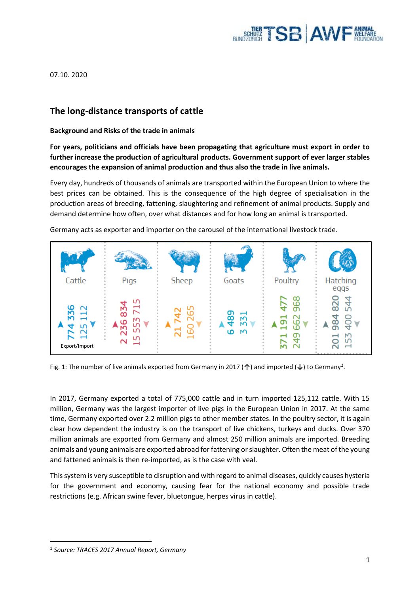

07.10. 2020

# **The long-distance transports of cattle**

# **Background and Risks of the trade in animals**

**For years, politicians and officials have been propagating that agriculture must export in order to further increase the production of agricultural products. Government support of ever larger stables encourages the expansion of animal production and thus also the trade in live animals.**

Every day, hundreds of thousands of animals are transported within the European Union to where the best prices can be obtained. This is the consequence of the high degree of specialisation in the production areas of breeding, fattening, slaughtering and refinement of animal products. Supply and demand determine how often, over what distances and for how long an animal is transported.



Germany acts as exporter and importer on the carousel of the international livestock trade.

Fig. 1: The number of live animals exported from Germany in 2017 (**↑**) and imported (**↓**) to Germany*<sup>1</sup>* .

In 2017, Germany exported a total of 775,000 cattle and in turn imported 125,112 cattle. With 15 million, Germany was the largest importer of live pigs in the European Union in 2017. At the same time, Germany exported over 2.2 million pigs to other member states. In the poultry sector, it is again clear how dependent the industry is on the transport of live chickens, turkeys and ducks. Over 370 million animals are exported from Germany and almost 250 million animals are imported. Breeding animals and young animals are exported abroad for fattening or slaughter. Often the meat of the young and fattened animals is then re-imported, as is the case with veal.

This system is very susceptible to disruption and with regard to animal diseases, quickly causes hysteria for the government and economy, causing fear for the national economy and possible trade restrictions (e.g. African swine fever, bluetongue, herpes virus in cattle).

<sup>1</sup> *Source: TRACES 2017 Annual Report, Germany*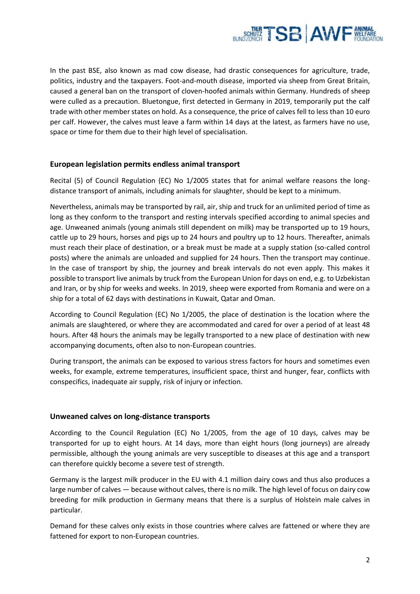

In the past BSE, also known as mad cow disease, had drastic consequences for agriculture, trade, politics, industry and the taxpayers. Foot-and-mouth disease, imported via sheep from Great Britain, caused a general ban on the transport of cloven-hoofed animals within Germany. Hundreds of sheep were culled as a precaution. Bluetongue, first detected in Germany in 2019, temporarily put the calf trade with other member states on hold. As a consequence, the price of calves fell to less than 10 euro per calf. However, the calves must leave a farm within 14 days at the latest, as farmers have no use, space or time for them due to their high level of specialisation.

# **European legislation permits endless animal transport**

Recital (5) of Council Regulation (EC) No 1/2005 states that for animal welfare reasons the longdistance transport of animals, including animals for slaughter, should be kept to a minimum.

Nevertheless, animals may be transported by rail, air, ship and truck for an unlimited period of time as long as they conform to the transport and resting intervals specified according to animal species and age. Unweaned animals (young animals still dependent on milk) may be transported up to 19 hours, cattle up to 29 hours, horses and pigs up to 24 hours and poultry up to 12 hours. Thereafter, animals must reach their place of destination, or a break must be made at a supply station (so-called control posts) where the animals are unloaded and supplied for 24 hours. Then the transport may continue. In the case of transport by ship, the journey and break intervals do not even apply. This makes it possible to transport live animals by truck from the European Union for days on end, e.g. to Uzbekistan and Iran, or by ship for weeks and weeks. In 2019, sheep were exported from Romania and were on a ship for a total of 62 days with destinations in Kuwait, Qatar and Oman.

According to Council Regulation (EC) No 1/2005, the place of destination is the location where the animals are slaughtered, or where they are accommodated and cared for over a period of at least 48 hours. After 48 hours the animals may be legally transported to a new place of destination with new accompanying documents, often also to non-European countries.

During transport, the animals can be exposed to various stress factors for hours and sometimes even weeks, for example, extreme temperatures, insufficient space, thirst and hunger, fear, conflicts with conspecifics, inadequate air supply, risk of injury or infection.

#### **Unweaned calves on long-distance transports**

According to the Council Regulation (EC) No 1/2005, from the age of 10 days, calves may be transported for up to eight hours. At 14 days, more than eight hours (long journeys) are already permissible, although the young animals are very susceptible to diseases at this age and a transport can therefore quickly become a severe test of strength.

Germany is the largest milk producer in the EU with 4.1 million dairy cows and thus also produces a large number of calves — because without calves, there is no milk. The high level of focus on dairy cow breeding for milk production in Germany means that there is a surplus of Holstein male calves in particular.

Demand for these calves only exists in those countries where calves are fattened or where they are fattened for export to non-European countries.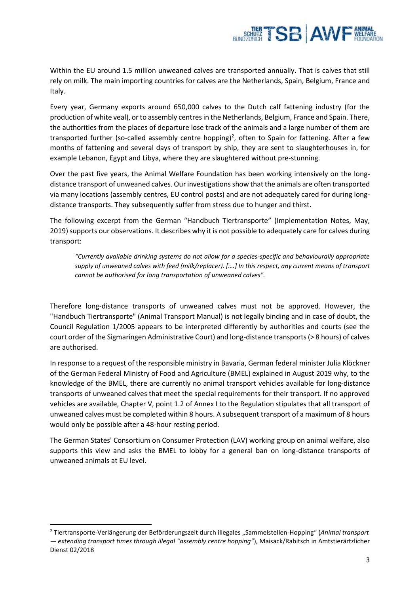

Within the EU around 1.5 million unweaned calves are transported annually. That is calves that still rely on milk. The main importing countries for calves are the Netherlands, Spain, Belgium, France and Italy.

Every year, Germany exports around 650,000 calves to the Dutch calf fattening industry (for the production of white veal), or to assembly centres in the Netherlands, Belgium, France and Spain. There, the authorities from the places of departure lose track of the animals and a large number of them are transported further (so-called assembly centre hopping)<sup>2</sup>, often to Spain for fattening. After a few months of fattening and several days of transport by ship, they are sent to slaughterhouses in, for example Lebanon, Egypt and Libya, where they are slaughtered without pre-stunning.

Over the past five years, the Animal Welfare Foundation has been working intensively on the longdistance transport of unweaned calves. Our investigations show that the animals are often transported via many locations (assembly centres, EU control posts) and are not adequately cared for during longdistance transports. They subsequently suffer from stress due to hunger and thirst.

The following excerpt from the German "Handbuch Tiertransporte" (Implementation Notes, May, 2019) supports our observations. It describes why it is not possible to adequately care for calves during transport:

*"Currently available drinking systems do not allow for a species-specific and behaviourally appropriate supply of unweaned calves with feed (milk/replacer). [….] In this respect, any current means of transport cannot be authorised for long transportation of unweaned calves".*

Therefore long-distance transports of unweaned calves must not be approved. However, the "Handbuch Tiertransporte" (Animal Transport Manual) is not legally binding and in case of doubt, the Council Regulation 1/2005 appears to be interpreted differently by authorities and courts (see the court order of the Sigmaringen Administrative Court) and long-distance transports (> 8 hours) of calves are authorised.

In response to a request of the responsible ministry in Bavaria, German federal minister Julia Klöckner of the German Federal Ministry of Food and Agriculture (BMEL) explained in August 2019 why, to the knowledge of the BMEL, there are currently no animal transport vehicles available for long-distance transports of unweaned calves that meet the special requirements for their transport. If no approved vehicles are available, Chapter V, point 1.2 of Annex I to the Regulation stipulates that all transport of unweaned calves must be completed within 8 hours. A subsequent transport of a maximum of 8 hours would only be possible after a 48-hour resting period.

The German States' Consortium on Consumer Protection (LAV) working group on animal welfare, also supports this view and asks the BMEL to lobby for a general ban on long-distance transports of unweaned animals at EU level.

<sup>2</sup> Tiertransporte-Verlängerung der Beförderungszeit durch illegales "Sammelstellen-Hopping" (*Animal transport — extending transport times through illegal "assembly centre hopping"*), Maisack/Rabitsch in Amtstierärtzlicher Dienst 02/2018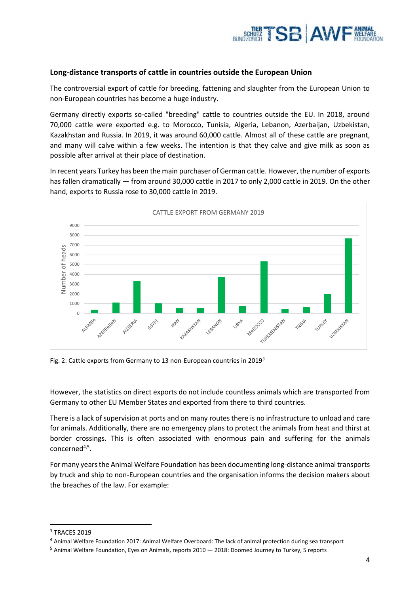

# **Long-distance transports of cattle in countries outside the European Union**

The controversial export of cattle for breeding, fattening and slaughter from the European Union to non-European countries has become a huge industry.

Germany directly exports so-called "breeding" cattle to countries outside the EU. In 2018, around 70,000 cattle were exported e.g. to Morocco, Tunisia, Algeria, Lebanon, Azerbaijan, Uzbekistan, Kazakhstan and Russia. In 2019, it was around 60,000 cattle. Almost all of these cattle are pregnant, and many will calve within a few weeks. The intention is that they calve and give milk as soon as possible after arrival at their place of destination.

In recent years Turkey has been the main purchaser of German cattle. However, the number of exports has fallen dramatically — from around 30,000 cattle in 2017 to only 2,000 cattle in 2019. On the other hand, exports to Russia rose to 30,000 cattle in 2019.



Fig. 2: Cattle exports from Germany to 13 non-European countries in 2019*<sup>3</sup>*

However, the statistics on direct exports do not include countless animals which are transported from Germany to other EU Member States and exported from there to third countries.

There is a lack of supervision at ports and on many routes there is no infrastructure to unload and care for animals. Additionally, there are no emergency plans to protect the animals from heat and thirst at border crossings. This is often associated with enormous pain and suffering for the animals concerned<sup>4,5</sup>.

For many years the Animal Welfare Foundation has been documenting long-distance animal transports by truck and ship to non-European countries and the organisation informs the decision makers about the breaches of the law. For example:

<sup>3</sup> TRACES 2019

<sup>4</sup> Animal Welfare Foundation 2017: Animal Welfare Overboard: The lack of animal protection during sea transport

<sup>5</sup> Animal Welfare Foundation, Eyes on Animals, reports 2010 — 2018: Doomed Journey to Turkey, 5 reports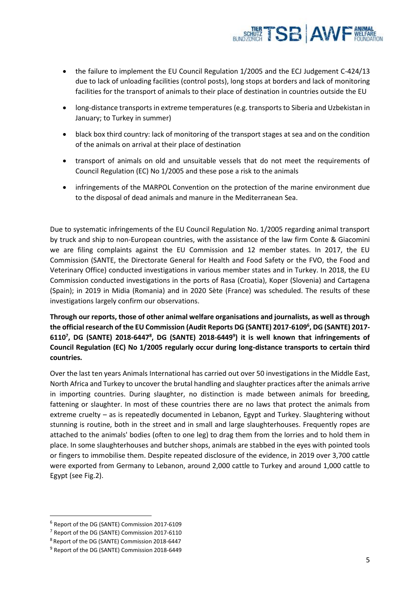

- the failure to implement the EU Council Regulation 1/2005 and the ECJ Judgement C-424/13 due to lack of unloading facilities (control posts), long stops at borders and lack of monitoring facilities for the transport of animals to their place of destination in countries outside the EU
- long-distance transports in extreme temperatures (e.g. transports to Siberia and Uzbekistan in January; to Turkey in summer)
- black box third country: lack of monitoring of the transport stages at sea and on the condition of the animals on arrival at their place of destination
- transport of animals on old and unsuitable vessels that do not meet the requirements of Council Regulation (EC) No 1/2005 and these pose a risk to the animals
- infringements of the MARPOL Convention on the protection of the marine environment due to the disposal of dead animals and manure in the Mediterranean Sea.

Due to systematic infringements of the EU Council Regulation No. 1/2005 regarding animal transport by truck and ship to non-European countries, with the assistance of the law firm Conte & Giacomini we are filing complaints against the EU Commission and 12 member states. In 2017, the EU Commission (SANTE, the Directorate General for Health and Food Safety or the FVO, the Food and Veterinary Office) conducted investigations in various member states and in Turkey. In 2018, the EU Commission conducted investigations in the ports of Rasa (Croatia), Koper (Slovenia) and Cartagena (Spain); in 2019 in Midia (Romania) and in 2020 Sète (France) was scheduled. The results of these investigations largely confirm our observations.

**Through our reports, those of other animal welfare organisations and journalists, as well as through the official research of the EU Commission (Audit Reports DG (SANTE) 2017-6109<sup>6</sup> , DG (SANTE) 2017- 6110<sup>7</sup> , DG (SANTE) 2018-6447<sup>8</sup> , DG (SANTE) 2018-6449<sup>9</sup> ) it is well known that infringements of Council Regulation (EC) No 1/2005 regularly occur during long-distance transports to certain third countries.**

Over the last ten years Animals International has carried out over 50 investigations in the Middle East, North Africa and Turkey to uncover the brutal handling and slaughter practices after the animals arrive in importing countries. During slaughter, no distinction is made between animals for breeding, fattening or slaughter. In most of these countries there are no laws that protect the animals from extreme cruelty – as is repeatedly documented in Lebanon, Egypt and Turkey. Slaughtering without stunning is routine, both in the street and in small and large slaughterhouses. Frequently ropes are attached to the animals' bodies (often to one leg) to drag them from the lorries and to hold them in place. In some slaughterhouses and butcher shops, animals are stabbed in the eyes with pointed tools or fingers to immobilise them. Despite repeated disclosure of the evidence, in 2019 over 3,700 cattle were exported from Germany to Lebanon, around 2,000 cattle to Turkey and around 1,000 cattle to Egypt (see Fig.2).

<sup>6</sup> Report of the DG (SANTE) Commission 2017-6109

<sup>7</sup> Report of the DG (SANTE) Commission 2017-6110

<sup>8</sup> Report of the DG (SANTE) Commission 2018-6447

<sup>&</sup>lt;sup>9</sup> Report of the DG (SANTE) Commission 2018-6449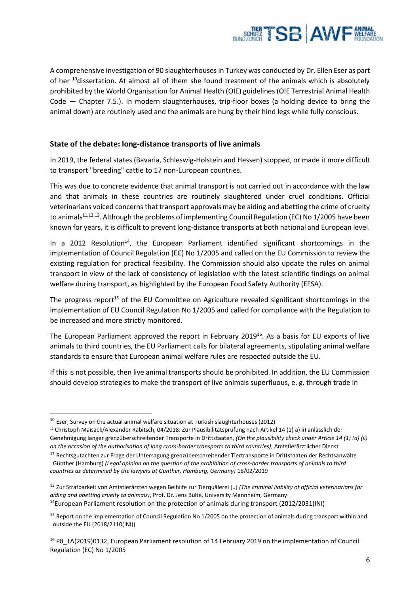

A comprehensive investigation of 90 slaughterhouses in Turkey was conducted by Dr. Ellen Eser as part of her <sup>10</sup>dissertation. At almost all of them she found treatment of the animals which is absolutely prohibited by the World Organisation for Animal Health (OIE) guidelines (OIE Terrestrial Animal Health Code — Chapter 7.5.). In modern slaughterhouses, trip-floor boxes (a holding device to bring the animal down) are routinely used and the animals are hung by their hind legs while fully conscious.

# **State of the debate: long-distance transports of live animals**

In 2019, the federal states (Bavaria, Schleswig-Holstein and Hessen) stopped, or made it more difficult to transport "breeding" cattle to 17 non-European countries.

This was due to concrete evidence that animal transport is not carried out in accordance with the law and that animals in these countries are routinely slaughtered under cruel conditions. Official veterinarians voiced concerns that transport approvals may be aiding and abetting the crime of cruelty to animals<sup>11,12,13</sup>. Although the problems of implementing Council Regulation (EC) No 1/2005 have been known for years, it is difficult to prevent long-distance transports at both national and European level.

In a 2012 Resolution<sup>14</sup>, the European Parliament identified significant shortcomings in the implementation of Council Regulation (EC) No 1/2005 and called on the EU Commission to review the existing regulation for practical feasibility. The Commission should also update the rules on animal transport in view of the lack of consistency of legislation with the latest scientific findings on animal welfare during transport, as highlighted by the European Food Safety Authority (EFSA).

The progress report<sup>15</sup> of the EU Committee on Agriculture revealed significant shortcomings in the implementation of EU Council Regulation No 1/2005 and called for compliance with the Regulation to be increased and more strictly monitored.

The European Parliament approved the report in February 2019<sup>16</sup>. As a basis for EU exports of live animals to third countries, the EU Parliament calls for bilateral agreements, stipulating animal welfare standards to ensure that European animal welfare rules are respected outside the EU.

If this is not possible, then live animal transports should be prohibited. In addition, the EU Commission should develop strategies to make the transport of live animals superfluous, e. g. through trade in

<sup>&</sup>lt;sup>10</sup> Eser, Survey on the actual animal welfare situation at Turkish slaughterhouses (2012)

<sup>11</sup> Christoph Maisack/Alexander Rabitsch, 04/2018: Zur Plausibilitätsprüfung nach Artikel 14 (1) a) ii) anlässlich der Genehmigung langer grenzüberschreitender Transporte in Drittstaaten, *(On the plausibility check under Article 14 (1) (a) (ii) on the occasion of the authorisation of long cross-border transports to third countries)*, Amtstierärztlicher Dienst

<sup>&</sup>lt;sup>12</sup> Rechtsgutachten zur Frage der Untersagung grenzüberschreitender Tiertransporte in Drittstaaten der Rechtsanwälte Günther (Hamburg) *(Legal opinion on the question of the prohibition of cross-border transports of animals to third* 

*countries as determined by the lawyers at Günther, Hamburg, Germany)* 18/02/2019

<sup>13</sup> Zur Strafbarkeit von Amtstierärzten wegen Beihilfe zur Tierquälerei [..] *(The criminal liability of official veterinarians for aiding and abetting cruelty to animals)*, Prof. Dr. Jens Bülte, University Mannheim, Germany <sup>14</sup>European Parliament resolution on the protection of animals during transport (2012/2031(INI)

<sup>&</sup>lt;sup>15</sup> Report on the implementation of Council Regulation No 1/2005 on the protection of animals during transport within and outside the EU (2018/2110(INI))

<sup>16</sup> P8\_TA(2019)0132, European Parliament resolution of 14 February 2019 on the implementation of Council Regulation (EC) No 1/2005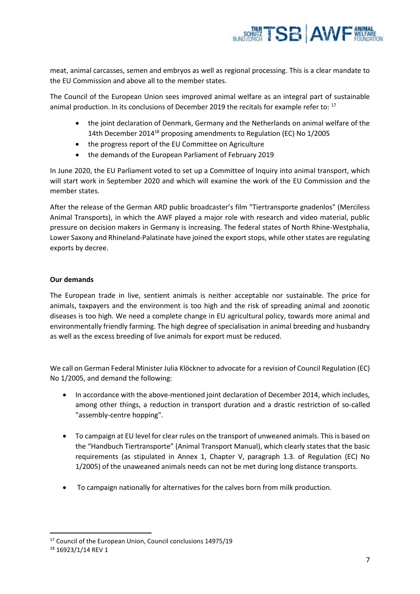

meat, animal carcasses, semen and embryos as well as regional processing. This is a clear mandate to the EU Commission and above all to the member states.

The Council of the European Union sees improved animal welfare as an integral part of sustainable animal production. In its conclusions of December 2019 the recitals for example refer to: <sup>17</sup>

- the joint declaration of Denmark, Germany and the Netherlands on animal welfare of the 14th December 2014<sup>18</sup> proposing amendments to Regulation (EC) No 1/2005
- the progress report of the EU Committee on Agriculture
- the demands of the European Parliament of February 2019

In June 2020, the EU Parliament voted to set up a Committee of Inquiry into animal transport, which will start work in September 2020 and which will examine the work of the EU Commission and the member states.

After the release of the German ARD public broadcaster's film "Tiertransporte gnadenlos" (Merciless Animal Transports), in which the AWF played a major role with research and video material, public pressure on decision makers in Germany is increasing. The federal states of North Rhine-Westphalia, Lower Saxony and Rhineland-Palatinate have joined the export stops, while other states are regulating exports by decree.

# **Our demands**

The European trade in live, sentient animals is neither acceptable nor sustainable. The price for animals, taxpayers and the environment is too high and the risk of spreading animal and zoonotic diseases is too high. We need a complete change in EU agricultural policy, towards more animal and environmentally friendly farming. The high degree of specialisation in animal breeding and husbandry as well as the excess breeding of live animals for export must be reduced.

We call on German Federal Minister Julia Klöckner to advocate for a revision of Council Regulation (EC) No 1/2005, and demand the following:

- In accordance with the above-mentioned joint declaration of December 2014, which includes, among other things, a reduction in transport duration and a drastic restriction of so-called "assembly-centre hopping".
- To campaign at EU level for clear rules on the transport of unweaned animals. This is based on the "Handbuch Tiertransporte" (Animal Transport Manual), which clearly states that the basic requirements (as stipulated in Annex 1, Chapter V, paragraph 1.3. of Regulation (EC) No 1/2005) of the unaweaned animals needs can not be met during long distance transports.
- To campaign nationally for alternatives for the calves born from milk production.

<sup>&</sup>lt;sup>17</sup> Council of the European Union, Council conclusions 14975/19

<sup>&</sup>lt;sup>18</sup> 16923/1/14 REV 1